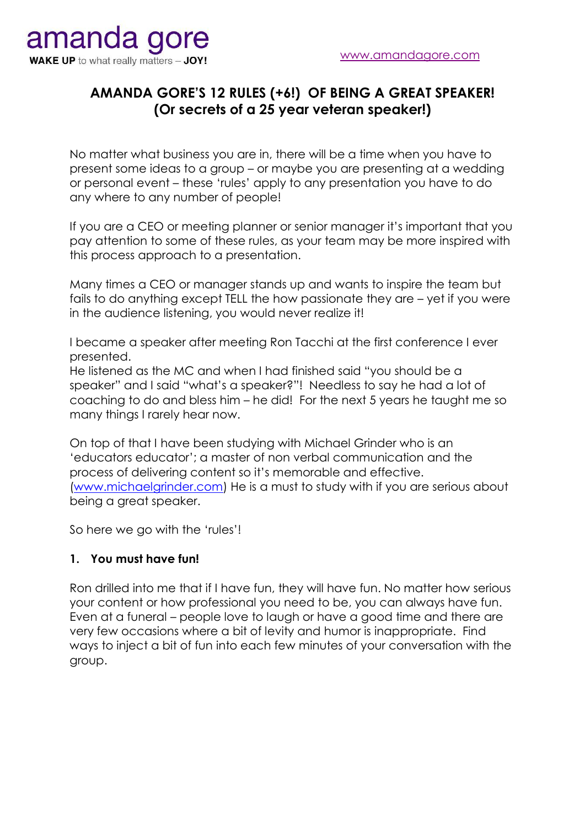## **AMANDA GORE'S 12 RULES (+6!) OF BEING A GREAT SPEAKER! (Or secrets of a 25 year veteran speaker!)**

No matter what business you are in, there will be a time when you have to present some ideas to a group – or maybe you are presenting at a wedding or personal event – these 'rules' apply to any presentation you have to do any where to any number of people!

If you are a CEO or meeting planner or senior manager it's important that you pay attention to some of these rules, as your team may be more inspired with this process approach to a presentation.

Many times a CEO or manager stands up and wants to inspire the team but fails to do anything except TELL the how passionate they are – yet if you were in the audience listening, you would never realize it!

I became a speaker after meeting Ron Tacchi at the first conference I ever presented.

He listened as the MC and when I had finished said "you should be a speaker" and I said "what's a speaker?"! Needless to say he had a lot of coaching to do and bless him – he did! For the next 5 years he taught me so many things I rarely hear now.

On top of that I have been studying with Michael Grinder who is an 'educators educator'; a master of non verbal communication and the process of delivering content so it's memorable and effective. [\(www.michaelgrinder.com\)](http://www.michaelgrinder.com/) He is a must to study with if you are serious about being a great speaker.

So here we go with the 'rules'!

#### **1. You must have fun!**

Ron drilled into me that if I have fun, they will have fun. No matter how serious your content or how professional you need to be, you can always have fun. Even at a funeral – people love to laugh or have a good time and there are very few occasions where a bit of levity and humor is inappropriate. Find ways to inject a bit of fun into each few minutes of your conversation with the group.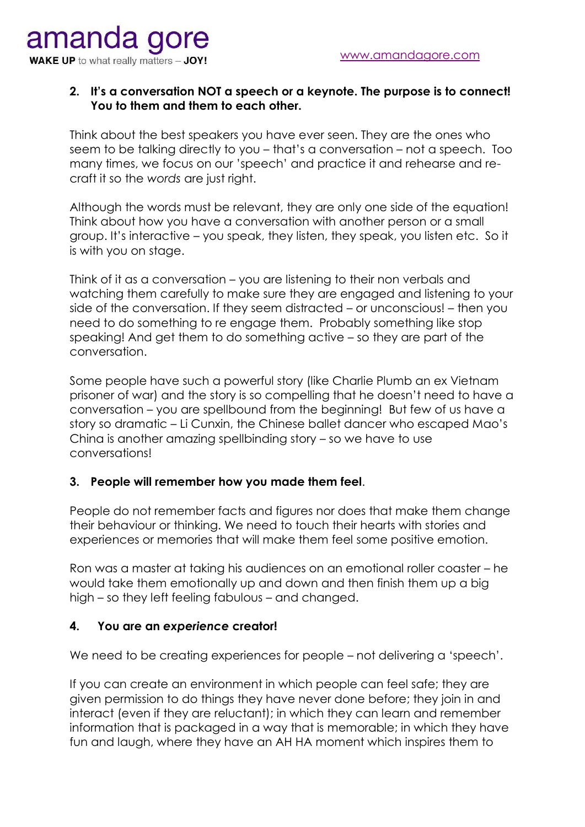# amanda gore **WAKE UP** to what really matters - JOY!

## **2. It's a conversation NOT a speech or a keynote. The purpose is to connect! You to them and them to each other.**

Think about the best speakers you have ever seen. They are the ones who seem to be talking directly to you – that's a conversation – not a speech. Too many times, we focus on our 'speech' and practice it and rehearse and recraft it so the *words* are just right.

Although the words must be relevant, they are only one side of the equation! Think about how you have a conversation with another person or a small group. It's interactive – you speak, they listen, they speak, you listen etc. So it is with you on stage.

Think of it as a conversation – you are listening to their non verbals and watching them carefully to make sure they are engaged and listening to your side of the conversation. If they seem distracted – or unconscious! – then you need to do something to re engage them. Probably something like stop speaking! And get them to do something active – so they are part of the conversation.

Some people have such a powerful story (like Charlie Plumb an ex Vietnam prisoner of war) and the story is so compelling that he doesn't need to have a conversation – you are spellbound from the beginning! But few of us have a story so dramatic – Li Cunxin, the Chinese ballet dancer who escaped Mao's China is another amazing spellbinding story – so we have to use conversations!

## **3. People will remember how you made them feel**.

People do not remember facts and figures nor does that make them change their behaviour or thinking. We need to touch their hearts with stories and experiences or memories that will make them feel some positive emotion.

Ron was a master at taking his audiences on an emotional roller coaster – he would take them emotionally up and down and then finish them up a big high – so they left feeling fabulous – and changed.

## **4. You are an** *experience* **creator!**

We need to be creating experiences for people – not delivering a 'speech'.

If you can create an environment in which people can feel safe; they are given permission to do things they have never done before; they join in and interact (even if they are reluctant); in which they can learn and remember information that is packaged in a way that is memorable; in which they have fun and laugh, where they have an AH HA moment which inspires them to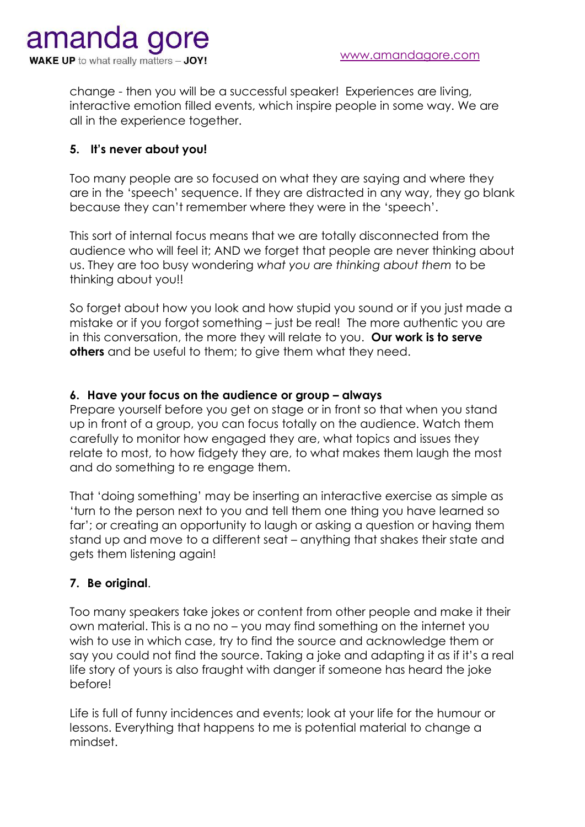change - then you will be a successful speaker! Experiences are living, interactive emotion filled events, which inspire people in some way. We are all in the experience together.

## **5. It's never about you!**

Too many people are so focused on what they are saying and where they are in the 'speech' sequence. If they are distracted in any way, they go blank because they can't remember where they were in the 'speech'.

This sort of internal focus means that we are totally disconnected from the audience who will feel it; AND we forget that people are never thinking about us. They are too busy wondering *what you are thinking about them* to be thinking about you!!

So forget about how you look and how stupid you sound or if you just made a mistake or if you forgot something – just be real! The more authentic you are in this conversation, the more they will relate to you. **Our work is to serve others** and be useful to them; to give them what they need.

## **6. Have your focus on the audience or group – always**

Prepare yourself before you get on stage or in front so that when you stand up in front of a group, you can focus totally on the audience. Watch them carefully to monitor how engaged they are, what topics and issues they relate to most, to how fidgety they are, to what makes them laugh the most and do something to re engage them.

That 'doing something' may be inserting an interactive exercise as simple as 'turn to the person next to you and tell them one thing you have learned so far'; or creating an opportunity to laugh or asking a question or having them stand up and move to a different seat – anything that shakes their state and gets them listening again!

## **7. Be original**.

Too many speakers take jokes or content from other people and make it their own material. This is a no no – you may find something on the internet you wish to use in which case, try to find the source and acknowledge them or say you could not find the source. Taking a joke and adapting it as if it's a real life story of yours is also fraught with danger if someone has heard the joke before!

Life is full of funny incidences and events; look at your life for the humour or lessons. Everything that happens to me is potential material to change a mindset.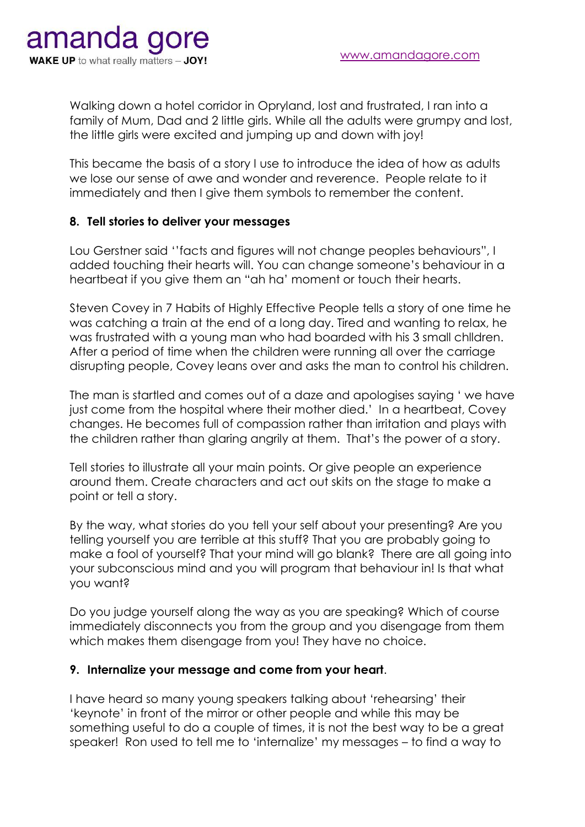Walking down a hotel corridor in Opryland, lost and frustrated, I ran into a family of Mum, Dad and 2 little girls. While all the adults were grumpy and lost, the little girls were excited and jumping up and down with joy!

This became the basis of a story I use to introduce the idea of how as adults we lose our sense of awe and wonder and reverence. People relate to it immediately and then I give them symbols to remember the content.

## **8. Tell stories to deliver your messages**

Lou Gerstner said ''facts and figures will not change peoples behaviours", I added touching their hearts will. You can change someone's behaviour in a heartbeat if you give them an "ah ha' moment or touch their hearts.

Steven Covey in 7 Habits of Highly Effective People tells a story of one time he was catching a train at the end of a long day. Tired and wanting to relax, he was frustrated with a young man who had boarded with his 3 small chlldren. After a period of time when the children were running all over the carriage disrupting people, Covey leans over and asks the man to control his children.

The man is startled and comes out of a daze and apologises saying ' we have just come from the hospital where their mother died.' In a heartbeat, Covey changes. He becomes full of compassion rather than irritation and plays with the children rather than glaring angrily at them. That's the power of a story.

Tell stories to illustrate all your main points. Or give people an experience around them. Create characters and act out skits on the stage to make a point or tell a story.

By the way, what stories do you tell your self about your presenting? Are you telling yourself you are terrible at this stuff? That you are probably going to make a fool of yourself? That your mind will go blank? There are all going into your subconscious mind and you will program that behaviour in! Is that what you want?

Do you judge yourself along the way as you are speaking? Which of course immediately disconnects you from the group and you disengage from them which makes them disengage from you! They have no choice.

#### **9. Internalize your message and come from your heart**.

I have heard so many young speakers talking about 'rehearsing' their 'keynote' in front of the mirror or other people and while this may be something useful to do a couple of times, it is not the best way to be a great speaker! Ron used to tell me to 'internalize' my messages – to find a way to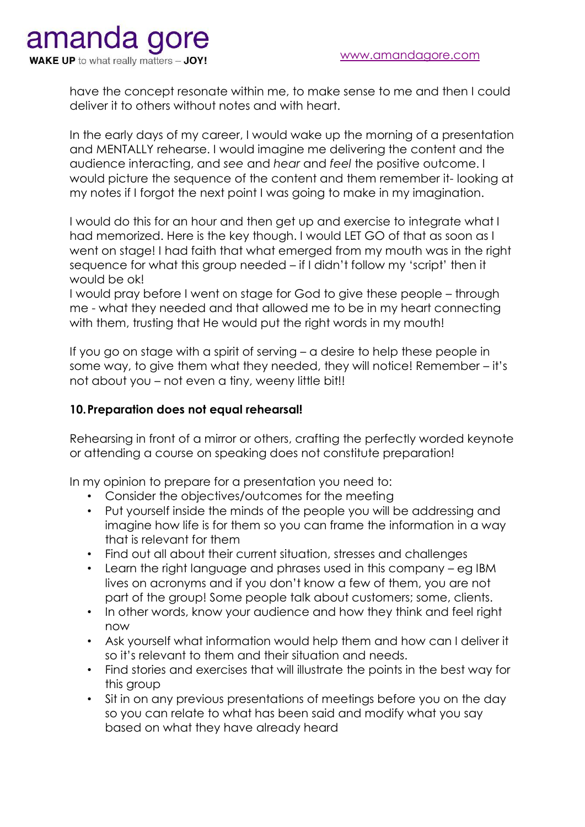amanda gore **WAKE UP** to what really matters - JOY!

> have the concept resonate within me, to make sense to me and then I could deliver it to others without notes and with heart.

> In the early days of my career, I would wake up the morning of a presentation and MENTALLY rehearse. I would imagine me delivering the content and the audience interacting, and *see* and *hear* and *feel* the positive outcome. I would picture the sequence of the content and them remember it- looking at my notes if I forgot the next point I was going to make in my imagination.

> I would do this for an hour and then get up and exercise to integrate what I had memorized. Here is the key though. I would LET GO of that as soon as I went on stage! I had faith that what emerged from my mouth was in the right sequence for what this group needed – if I didn't follow my 'script' then it would be ok!

I would pray before I went on stage for God to give these people – through me - what they needed and that allowed me to be in my heart connecting with them, trusting that He would put the right words in my mouth!

If you go on stage with a spirit of serving – a desire to help these people in some way, to give them what they needed, they will notice! Remember – it's not about you – not even a tiny, weeny little bit!!

## **10.Preparation does not equal rehearsal!**

Rehearsing in front of a mirror or others, crafting the perfectly worded keynote or attending a course on speaking does not constitute preparation!

In my opinion to prepare for a presentation you need to:

- Consider the objectives/outcomes for the meeting
- Put yourself inside the minds of the people you will be addressing and imagine how life is for them so you can frame the information in a way that is relevant for them
- Find out all about their current situation, stresses and challenges
- Learn the right language and phrases used in this company eg IBM lives on acronyms and if you don't know a few of them, you are not part of the group! Some people talk about customers; some, clients.
- In other words, know your audience and how they think and feel right now
- Ask yourself what information would help them and how can I deliver it so it's relevant to them and their situation and needs.
- Find stories and exercises that will illustrate the points in the best way for this group
- Sit in on any previous presentations of meetings before you on the day so you can relate to what has been said and modify what you say based on what they have already heard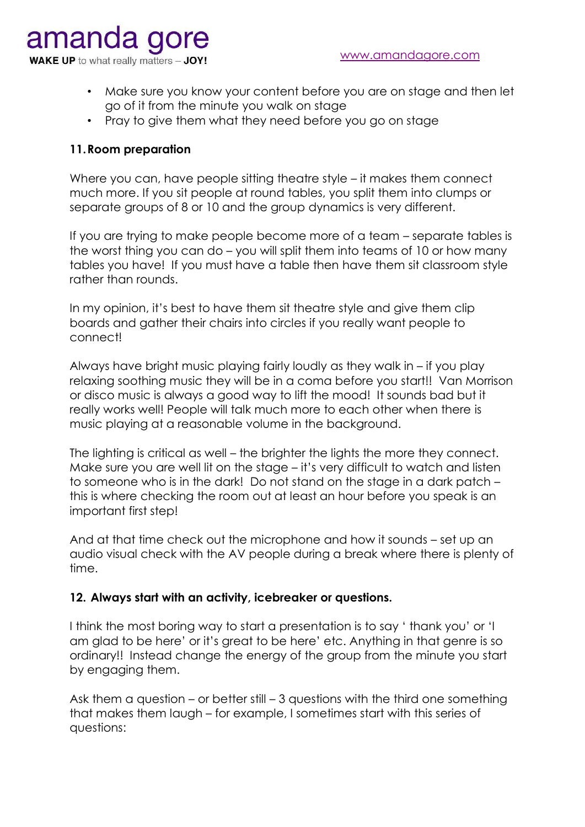amanda **WAKE UP** to what really matters - JOY!

- Make sure you know your content before you are on stage and then let go of it from the minute you walk on stage
- Pray to give them what they need before you go on stage

## **11.Room preparation**

Where you can, have people sitting theatre style – it makes them connect much more. If you sit people at round tables, you split them into clumps or separate groups of 8 or 10 and the group dynamics is very different.

If you are trying to make people become more of a team – separate tables is the worst thing you can do – you will split them into teams of 10 or how many tables you have! If you must have a table then have them sit classroom style rather than rounds.

In my opinion, it's best to have them sit theatre style and give them clip boards and gather their chairs into circles if you really want people to connect!

Always have bright music playing fairly loudly as they walk in – if you play relaxing soothing music they will be in a coma before you start!! Van Morrison or disco music is always a good way to lift the mood! It sounds bad but it really works well! People will talk much more to each other when there is music playing at a reasonable volume in the background.

The lighting is critical as well – the brighter the lights the more they connect. Make sure you are well lit on the stage – it's very difficult to watch and listen to someone who is in the dark! Do not stand on the stage in a dark patch – this is where checking the room out at least an hour before you speak is an important first step!

And at that time check out the microphone and how it sounds – set up an audio visual check with the AV people during a break where there is plenty of time.

#### **12. Always start with an activity, icebreaker or questions.**

I think the most boring way to start a presentation is to say ' thank you' or 'I am glad to be here' or it's great to be here' etc. Anything in that genre is so ordinary!! Instead change the energy of the group from the minute you start by engaging them.

Ask them a question – or better still – 3 questions with the third one something that makes them laugh – for example, I sometimes start with this series of questions: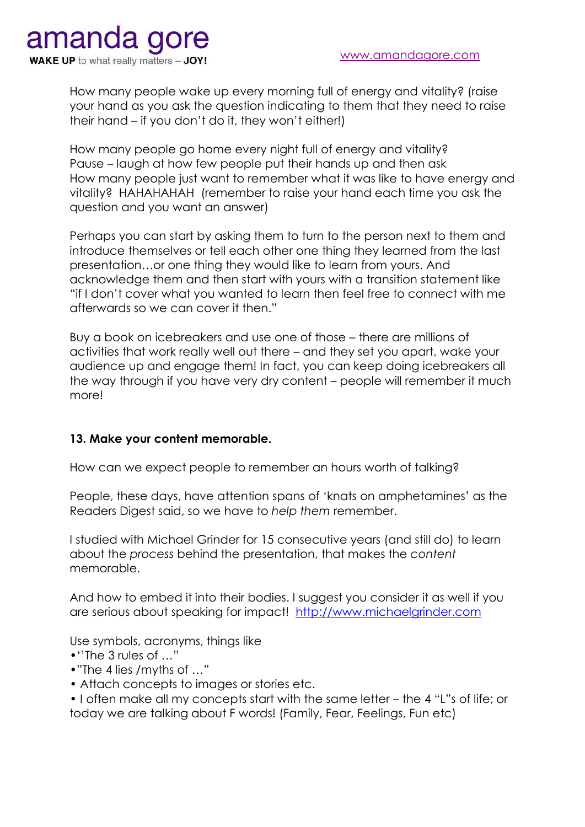

How many people wake up every morning full of energy and vitality? (raise your hand as you ask the question indicating to them that they need to raise their hand – if you don't do it, they won't either!)

How many people go home every night full of energy and vitality? Pause – laugh at how few people put their hands up and then ask How many people just want to remember what it was like to have energy and vitality? HAHAHAHAH (remember to raise your hand each time you ask the question and you want an answer)

Perhaps you can start by asking them to turn to the person next to them and introduce themselves or tell each other one thing they learned from the last presentation…or one thing they would like to learn from yours. And acknowledge them and then start with yours with a transition statement like "if I don't cover what you wanted to learn then feel free to connect with me afterwards so we can cover it then."

Buy a book on icebreakers and use one of those – there are millions of activities that work really well out there – and they set you apart, wake your audience up and engage them! In fact, you can keep doing icebreakers all the way through if you have very dry content – people will remember it much more!

## **13. Make your content memorable.**

How can we expect people to remember an hours worth of talking?

People, these days, have attention spans of 'knats on amphetamines' as the Readers Digest said, so we have to *help them* remember.

I studied with Michael Grinder for 15 consecutive years (and still do) to learn about the *process* behind the presentation, that makes the *content* memorable.

And how to embed it into their bodies. I suggest you consider it as well if you are serious about speaking for impact! [http://www.michaelgrinder.com](http://www.michaelgrinder.com/)

Use symbols, acronyms, things like

- •''The 3 rules of …"
- •"The 4 lies /myths of …"
- Attach concepts to images or stories etc.

• I often make all my concepts start with the same letter – the 4 "L"s of life; or today we are talking about F words! (Family, Fear, Feelings, Fun etc)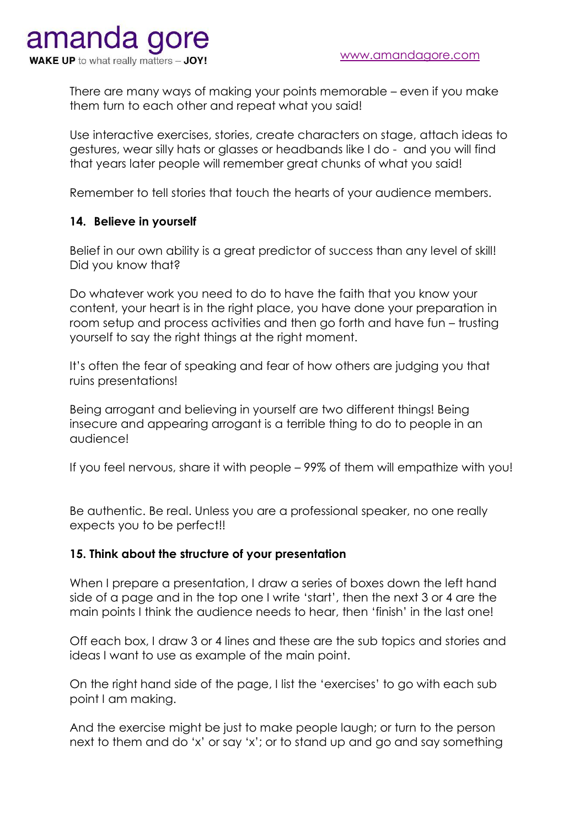There are many ways of making your points memorable – even if you make them turn to each other and repeat what you said!

Use interactive exercises, stories, create characters on stage, attach ideas to gestures, wear silly hats or glasses or headbands like I do - and you will find that years later people will remember great chunks of what you said!

Remember to tell stories that touch the hearts of your audience members.

## **14. Believe in yourself**

Belief in our own ability is a great predictor of success than any level of skill! Did you know that?

Do whatever work you need to do to have the faith that you know your content, your heart is in the right place, you have done your preparation in room setup and process activities and then go forth and have fun – trusting yourself to say the right things at the right moment.

It's often the fear of speaking and fear of how others are judging you that ruins presentations!

Being arrogant and believing in yourself are two different things! Being insecure and appearing arrogant is a terrible thing to do to people in an audience!

If you feel nervous, share it with people – 99% of them will empathize with you!

Be authentic. Be real. Unless you are a professional speaker, no one really expects you to be perfect!!

#### **15. Think about the structure of your presentation**

When I prepare a presentation, I draw a series of boxes down the left hand side of a page and in the top one I write 'start', then the next 3 or 4 are the main points I think the audience needs to hear, then 'finish' in the last one!

Off each box, I draw 3 or 4 lines and these are the sub topics and stories and ideas I want to use as example of the main point.

On the right hand side of the page, I list the 'exercises' to go with each sub point I am making.

And the exercise might be just to make people laugh; or turn to the person next to them and do 'x' or say 'x'; or to stand up and go and say something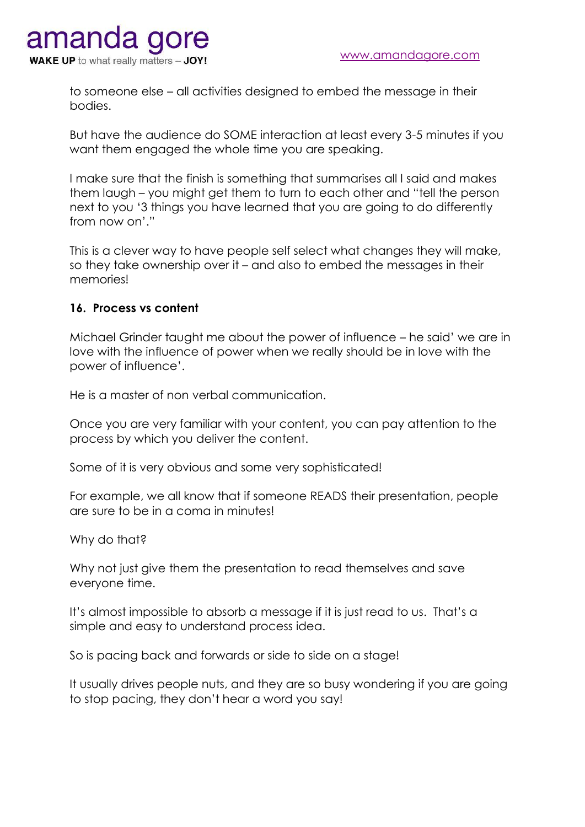to someone else – all activities designed to embed the message in their bodies.

But have the audience do SOME interaction at least every 3-5 minutes if you want them engaged the whole time you are speaking.

I make sure that the finish is something that summarises all I said and makes them laugh – you might get them to turn to each other and "tell the person next to you '3 things you have learned that you are going to do differently from now on'."

This is a clever way to have people self select what changes they will make, so they take ownership over it – and also to embed the messages in their memories!

## **16. Process vs content**

Michael Grinder taught me about the power of influence – he said' we are in love with the influence of power when we really should be in love with the power of influence'.

He is a master of non verbal communication.

Once you are very familiar with your content, you can pay attention to the process by which you deliver the content.

Some of it is very obvious and some very sophisticated!

For example, we all know that if someone READS their presentation, people are sure to be in a coma in minutes!

Why do that?

Why not just give them the presentation to read themselves and save everyone time.

It's almost impossible to absorb a message if it is just read to us. That's a simple and easy to understand process idea.

So is pacing back and forwards or side to side on a stage!

It usually drives people nuts, and they are so busy wondering if you are going to stop pacing, they don't hear a word you say!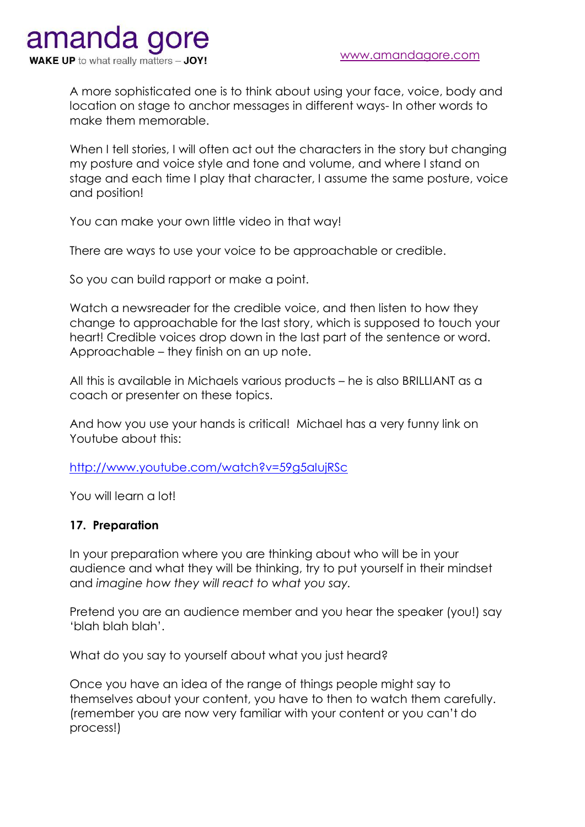A more sophisticated one is to think about using your face, voice, body and location on stage to anchor messages in different ways- In other words to make them memorable.

When I tell stories, I will often act out the characters in the story but changing my posture and voice style and tone and volume, and where I stand on stage and each time I play that character, I assume the same posture, voice and position!

You can make your own little video in that way!

There are ways to use your voice to be approachable or credible.

So you can build rapport or make a point.

Watch a newsreader for the credible voice, and then listen to how they change to approachable for the last story, which is supposed to touch your heart! Credible voices drop down in the last part of the sentence or word. Approachable – they finish on an up note.

All this is available in Michaels various products – he is also BRILLIANT as a coach or presenter on these topics.

And how you use your hands is critical! Michael has a very funny link on Youtube about this:

<http://www.youtube.com/watch?v=59g5aIujRSc>

You will learn a lot!

#### **17. Preparation**

In your preparation where you are thinking about who will be in your audience and what they will be thinking, try to put yourself in their mindset and *imagine how they will react to what you say.* 

Pretend you are an audience member and you hear the speaker (you!) say 'blah blah blah'.

What do you say to yourself about what you just heard?

Once you have an idea of the range of things people might say to themselves about your content, you have to then to watch them carefully. (remember you are now very familiar with your content or you can't do process!)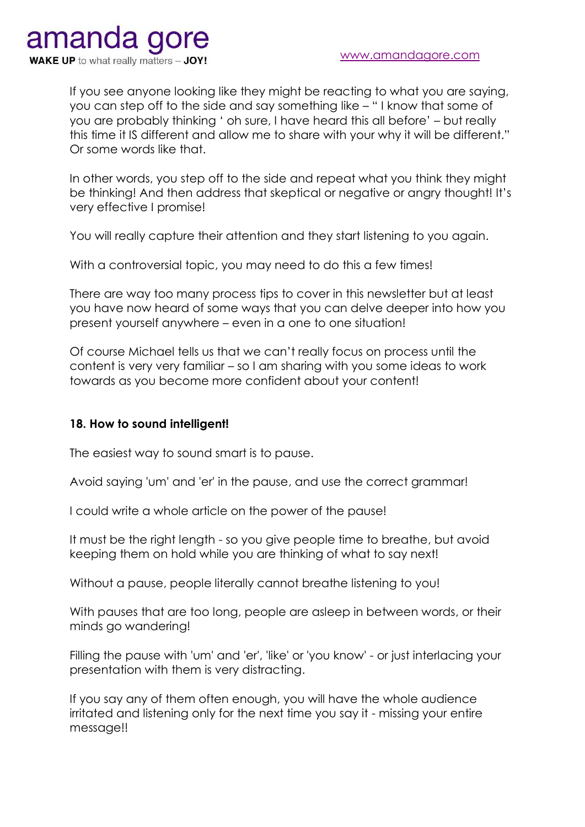If you see anyone looking like they might be reacting to what you are saying, you can step off to the side and say something like – " I know that some of you are probably thinking ' oh sure, I have heard this all before' – but really this time it IS different and allow me to share with your why it will be different." Or some words like that.

In other words, you step off to the side and repeat what you think they might be thinking! And then address that skeptical or negative or angry thought! It's very effective I promise!

You will really capture their attention and they start listening to you again.

With a controversial topic, you may need to do this a few times!

There are way too many process tips to cover in this newsletter but at least you have now heard of some ways that you can delve deeper into how you present yourself anywhere – even in a one to one situation!

Of course Michael tells us that we can't really focus on process until the content is very very familiar – so I am sharing with you some ideas to work towards as you become more confident about your content!

## **18. How to sound intelligent!**

The easiest way to sound smart is to pause.

Avoid saying 'um' and 'er' in the pause, and use the correct grammar!

I could write a whole article on the power of the pause!

It must be the right length - so you give people time to breathe, but avoid keeping them on hold while you are thinking of what to say next!

Without a pause, people literally cannot breathe listening to you!

With pauses that are too long, people are asleep in between words, or their minds go wandering!

Filling the pause with 'um' and 'er', 'like' or 'you know' - or just interlacing your presentation with them is very distracting.

If you say any of them often enough, you will have the whole audience irritated and listening only for the next time you say it - missing your entire message!!